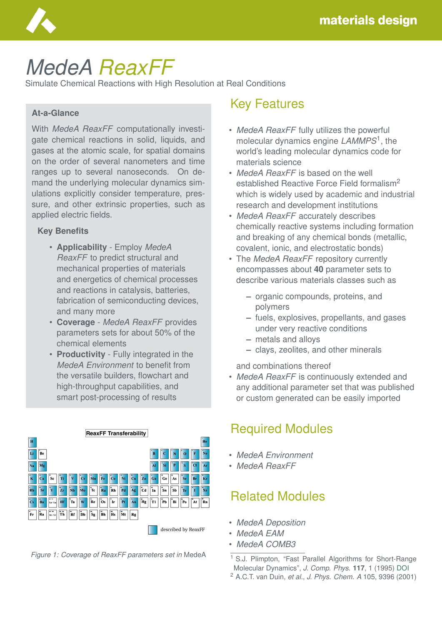

# *MedeA ReaxFF*

Simulate Chemical Reactions with High Resolution at Real Conditions

#### **At-a-Glance**

With *MedeA ReaxFF* computationally investigate chemical reactions in solid, liquids, and gases at the atomic scale, for spatial domains on the order of several nanometers and time ranges up to several nanoseconds. On demand the underlying molecular dynamics simulations explicitly consider temperature, pressure, and other extrinsic properties, such as applied electric fields.

#### **Key Benefits**

- **Applicability** Employ *MedeA ReaxFF* to predict structural and mechanical properties of materials and energetics of chemical processes and reactions in catalysis, batteries, fabrication of semiconducting devices, and many more
- **Coverage** *MedeA ReaxFF* provides parameters sets for about 50% of the chemical elements
- **Productivity** Fully integrated in the *MedeA Environment* to benefit from the versatile builders, flowchart and high-throughput capabilities, and smart post-processing of results





#### Key Features

- *MedeA ReaxFF* fully utilizes the powerful molecular dynamics engine *LAMMPS*<sup>1</sup> , the world's leading molecular dynamics code for materials science
- *MedeA ReaxFF* is based on the well established Reactive Force Field formalism<sup>2</sup> which is widely used by academic and industrial research and development institutions
- *MedeA ReaxFF* accurately describes chemically reactive systems including formation and breaking of any chemical bonds (metallic, covalent, ionic, and electrostatic bonds)
- The *MedeA ReaxFF* repository currently encompasses about **40** parameter sets to describe various materials classes such as
	- **–** organic compounds, proteins, and polymers
	- **–** fuels, explosives, propellants, and gases under very reactive conditions
	- **–** metals and alloys
	- **–** clays, zeolites, and other minerals

and combinations thereof

• *MedeA ReaxFF* is continuously extended and any additional parameter set that was published or custom generated can be easily imported

#### Required Modules

- *MedeA Environment*
- *MedeA ReaxFF*

## Related Modules

- *MedeA Deposition*
- *MedeA EAM*
- *MedeA COMB3*

<sup>1</sup> S.J. Plimpton, "Fast Parallel Algorithms for Short-Range Molecular Dynamics", *J. Comp. Phys.* **117**, 1 (1995) [DOI](https://doi.org/10.1006/jcph.1995.1039) <sup>2</sup> A.C.T. van Duin, *et al.*, *J. Phys. Chem. A* 105, 9396 (2001)